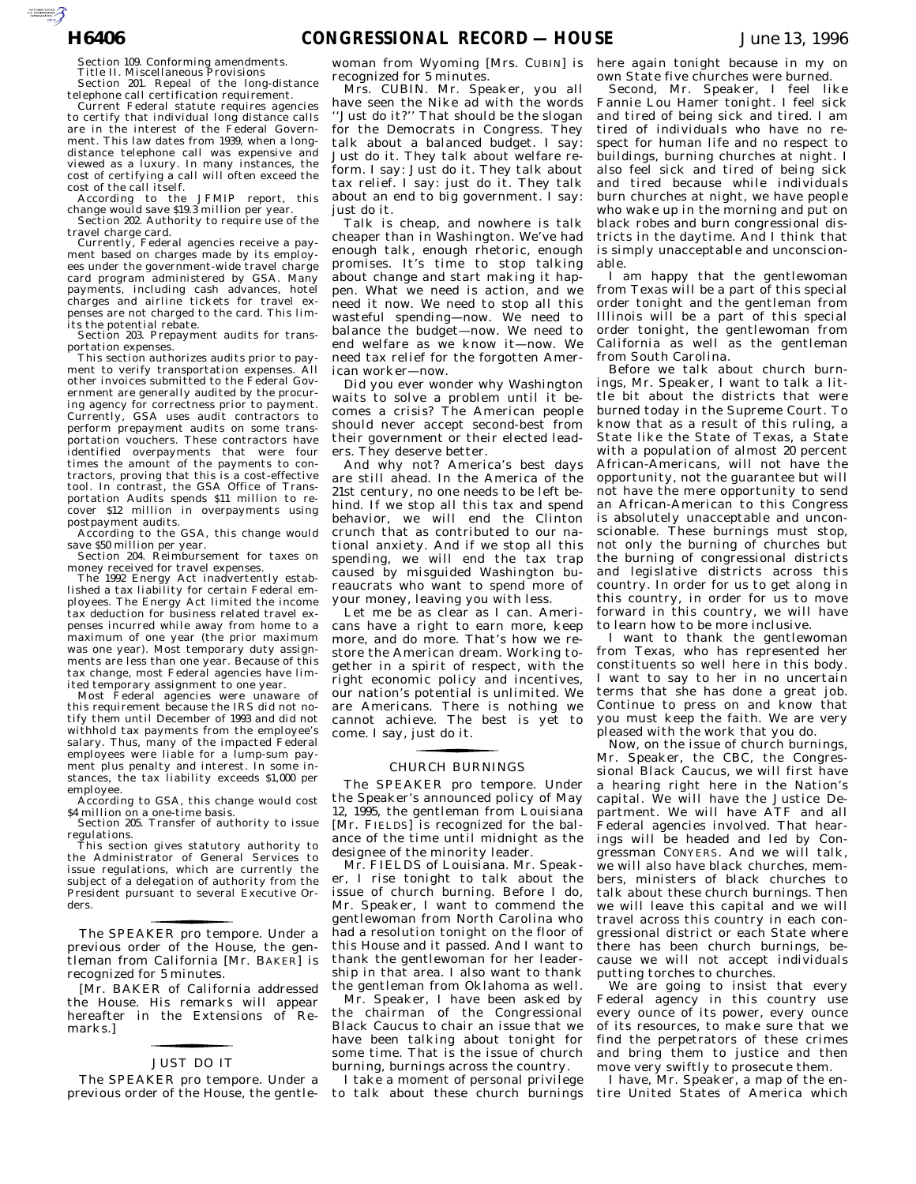Section 109. Conforming amendments. Title II. Miscellaneous Provisions

Section 201. Repeal of the long-distance telephone call certification requirement.

Current Federal statute requires agencies to certify that individual long distance calls are in the interest of the Federal Government. This law dates from 1939, when a longdistance telephone call was expensive and viewed as a luxury. In many instances, the cost of certifying a call will often exceed the

cost of the call itself. According to the JFMIP report, this change would save \$19.3 million per year. Section 202. Authority to require use of the

travel charge card. Currently, Federal agencies receive a pay-

ment based on charges made by its employees under the government-wide travel charge card program administered by GSA. Many payments, including cash advances, hotel charges and airline tickets for travel expenses are not charged to the card. This limits the potential rebate.

Section 203. Prepayment audits for transportation expenses.

This section authorizes audits prior to pay-<br>ent to verify transportation expenses. All ment to verify transportation expenses other invoices submitted to the Federal Government are generally audited by the procuring agency for correctness prior to payment. Currently, GSA uses audit contractors to perform prepayment audits on some transportation vouchers. These contractors have identified overpayments that were four times the amount of the payments to contractors, proving that this is a cost-effective tool. In contrast, the GSA Office of Transportation Audits spends \$11 million to recover \$12 million in overpayments using postpayment audits.

According to the GSA, this change would save \$50 million per year. Section 204. Reimbursement for taxes on

money received for travel expenses.

The 1992 Energy Act inadvertently established a tax liability for certain Federal employees. The Energy Act limited the income tax deduction for business related travel expenses incurred while away from home to a maximum of one year (the prior maximum was one year). Most temporary duty assignments are less than one year. Because of this tax change, most Federal agencies have limited temporary assignment to one year.

Most Federal agencies were unaware of this requirement because the IRS did not notify them until December of 1993 and did not withhold tax payments from the employee's salary. Thus, many of the impacted Federal employees were liable for a lump-sum payment plus penalty and interest. In some instances, the tax liability exceeds \$1,000 per employee.

According to GSA, this change would cost \$4 million on a one-time basis.

Section 205. Transfer of authority to issue regulations.

This section gives statutory authority to the Administrator of General Services to issue regulations, which are currently the subject of a delegation of authority from the President pursuant to several Executive Orders.

previous order of the House, the gentleman from California [Mr. B AKER] is The SPEAKER pro tempore. Under a recognized for 5 minutes.

for the control of the control of

[Mr. BAKER of California addressed the House. His remarks will appear hereafter in the Extensions of Remarks.]

## for the control of the control of JUST DO IT

The SPEAKER pro tempore. Under a previous order of the House, the gentlewoman from Wyoming [Mrs. CUBIN] is recognized for 5 minutes.

Mrs. CUBIN. Mr. Speaker, you all have seen the Nike ad with the words ''Just do it?'' That should be the slogan for the Democrats in Congress. They talk about a balanced budget. I say: Just do it. They talk about welfare reform. I say: Just do it. They talk about tax relief. I say: just do it. They talk about an end to big government. I say: just do it.

Talk is cheap, and nowhere is talk cheaper than in Washington. We've had enough talk, enough rhetoric, enough promises. It's time to stop talking about change and start making it happen. What we need is action, and we need it now. We need to stop all this wasteful spending—now. We need to balance the budget—now. We need to end welfare as we know it—now. We need tax relief for the forgotten American worker—now.

Did you ever wonder why Washington waits to solve a problem until it becomes a crisis? The American people should never accept second-best from their government or their elected leaders. They deserve better.

And why not? America's best days are still ahead. In the America of the 21st century, no one needs to be left behind. If we stop all this tax and spend behavior, we will end the Clinton crunch that as contributed to our national anxiety. And if we stop all this spending, we will end the tax trap caused by misguided Washington bureaucrats who want to spend more of your money, leaving you with less.

Let me be as clear as I can. Americans have a right to earn more, keep more, and do more. That's how we restore the American dream. Working together in a spirit of respect, with the right economic policy and incentives, our nation's potential is unlimited. We are Americans. There is nothing we cannot achieve. The best is yet to come. I say, just do it.

#### CHURCH BURNINGS for the control of the control of

The SPEAKER pro tempore. Under the Speaker's announced policy of May 12, 1995, the gentleman from Louisiana [Mr. FIELDS] is recognized for the balance of the time until midnight as the designee of the minority leader.

Mr. FIELDS of Louisiana. Mr. Speaker, I rise tonight to talk about the issue of church burning. Before I do, Mr. Speaker, I want to commend the gentlewoman from North Carolina who had a resolution tonight on the floor of this House and it passed. And I want to thank the gentlewoman for her leadership in that area. I also want to thank the gentleman from Oklahoma as well.

Mr. Speaker, I have been asked by the chairman of the Congressional Black Caucus to chair an issue that we have been talking about tonight for some time. That is the issue of church burning, burnings across the country.

I take a moment of personal privilege to talk about these church burnings here again tonight because in my on own State five churches were burned.

Second, Mr. Speaker, I feel like Fannie Lou Hamer tonight. I feel sick and tired of being sick and tired. I am tired of individuals who have no respect for human life and no respect to buildings, burning churches at night. I also feel sick and tired of being sick and tired because while individuals burn churches at night, we have people who wake up in the morning and put on black robes and burn congressional districts in the daytime. And I think that is simply unacceptable and unconscionable.

I am happy that the gentlewoman from Texas will be a part of this special order tonight and the gentleman from Illinois will be a part of this special order tonight, the gentlewoman from California as well as the gentleman from South Carolina.

Before we talk about church burnings, Mr. Speaker, I want to talk a little bit about the districts that were burned today in the Supreme Court. To know that as a result of this ruling, a State like the State of Texas, a State with a population of almost 20 percent African-Americans, will not have the opportunity, not the guarantee but will not have the mere opportunity to send an African-American to this Congress is absolutely unacceptable and unconscionable. These burnings must stop, not only the burning of churches but the burning of congressional districts and legislative districts across this country. In order for us to get along in this country, in order for us to move forward in this country, we will have to learn how to be more inclusive.

I want to thank the gentlewoman from Texas, who has represented her constituents so well here in this body. I want to say to her in no uncertain terms that she has done a great job. Continue to press on and know that you must keep the faith. We are very pleased with the work that you do.

Now, on the issue of church burnings, Mr. Speaker, the CBC, the Congressional Black Caucus, we will first have a hearing right here in the Nation's capital. We will have the Justice Department. We will have ATF and all Federal agencies involved. That hearings will be headed and led by Congressman CONYERS. And we will talk, we will also have black churches, members, ministers of black churches to talk about these church burnings. Then we will leave this capital and we will travel across this country in each congressional district or each State where there has been church burnings, because we will not accept individuals putting torches to churches.

We are going to insist that every Federal agency in this country use every ounce of its power, every ounce of its resources, to make sure that we find the perpetrators of these crimes and bring them to justice and then move very swiftly to prosecute them.

I have, Mr. Speaker, a map of the entire United States of America which

AUTOROTOMICALE CONTINUES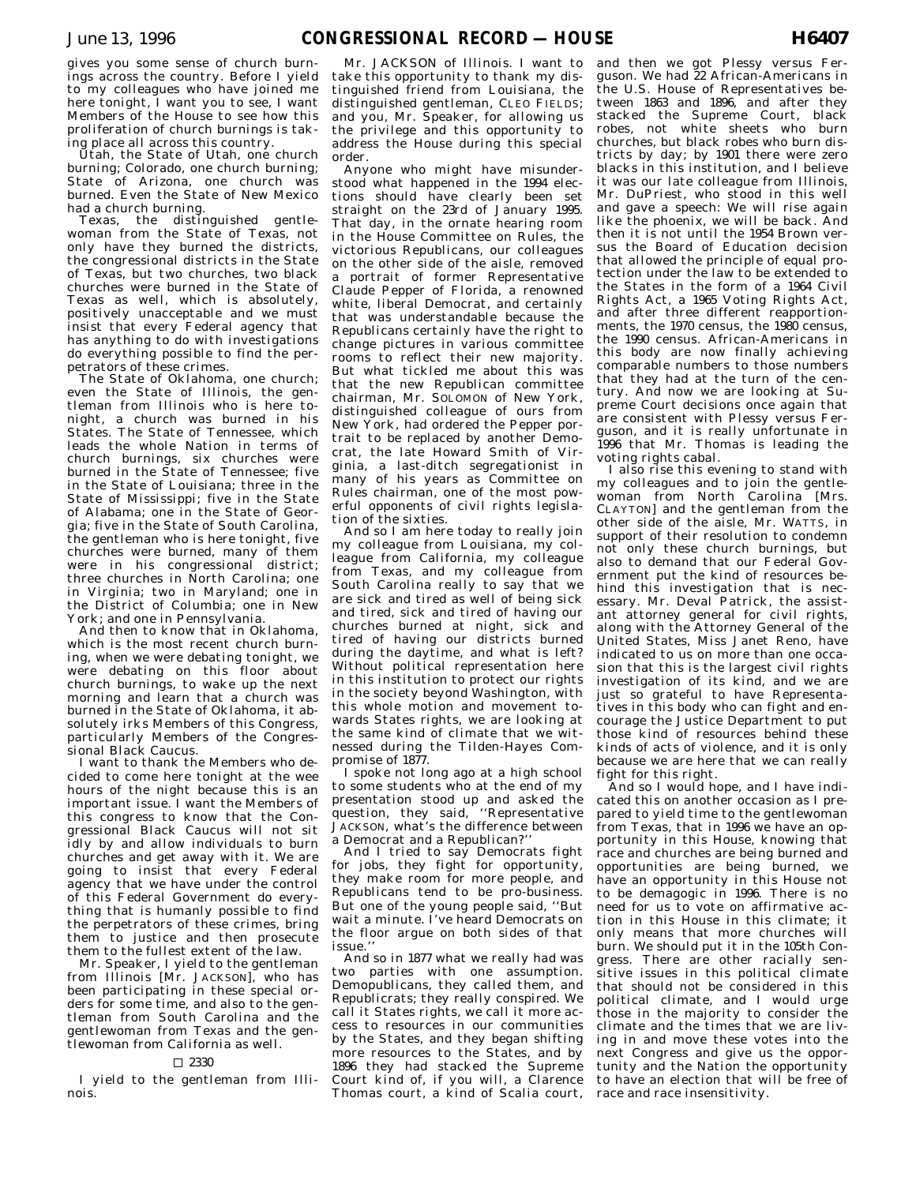gives you some sense of church burnings across the country. Before I yield to my colleagues who have joined me here tonight, I want you to see, I want Members of the House to see how this proliferation of church burnings is taking place all across this country.

Utah, the State of Utah, one church burning; Colorado, one church burning; State of Arizona, one church was burned. Even the State of New Mexico had a church burning.

Texas, the distinguished gentlewoman from the State of Texas, not only have they burned the districts, the congressional districts in the State of Texas, but two churches, two black churches were burned in the State of Texas as well, which is absolutely, positively unacceptable and we must insist that every Federal agency that has anything to do with investigations do everything possible to find the perpetrators of these crimes.

The State of Oklahoma, one church; even the State of Illinois, the gentleman from Illinois who is here tonight, a church was burned in his States. The State of Tennessee, which leads the whole Nation in terms of church burnings, six churches were burned in the State of Tennessee; five in the State of Louisiana; three in the State of Mississippi; five in the State of Alabama; one in the State of Georgia; five in the State of South Carolina, the gentleman who is here tonight, five churches were burned, many of them were in his congressional district; three churches in North Carolina; one in Virginia; two in Maryland; one in the District of Columbia; one in New York; and one in Pennsylvania.

And then to know that in Oklahoma, which is the most recent church burning, when we were debating tonight, we were debating on this floor about church burnings, to wake up the next morning and learn that a church was burned in the State of Oklahoma, it absolutely irks Members of this Congress, particularly Members of the Congressional Black Caucus.

I want to thank the Members who decided to come here tonight at the wee hours of the night because this is an important issue. I want the Members of this congress to know that the Congressional Black Caucus will not sit idly by and allow individuals to burn churches and get away with it. We are going to insist that every Federal agency that we have under the control of this Federal Government do everything that is humanly possible to find the perpetrators of these crimes, bring them to justice and then prosecute them to the fullest extent of the law.

Mr. Speaker, I yield to the gentleman from Illinois [Mr. JACKSON], who has been participating in these special orders for some time, and also to the gentleman from South Carolina and the gentlewoman from Texas and the gentlewoman from California as well.

#### $\square$  2330

I yield to the gentleman from Illinois.

Mr. JACKSON of Illinois. I want to take this opportunity to thank my distinguished friend from Louisiana, the distinguished gentleman, CLEO FIELDS; and you, Mr. Speaker, for allowing us the privilege and this opportunity to address the House during this special order.

Anyone who might have misunderstood what happened in the 1994 elections should have clearly been set straight on the 23rd of January 1995. That day, in the ornate hearing room in the House Committee on Rules, the victorious Republicans, our colleagues on the other side of the aisle, removed a portrait of former Representative Claude Pepper of Florida, a renowned white, liberal Democrat, and certainly that was understandable because the Republicans certainly have the right to change pictures in various committee rooms to reflect their new majority. But what tickled me about this was that the new Republican committee chairman, Mr. SOLOMON of New York, distinguished colleague of ours from New York, had ordered the Pepper portrait to be replaced by another Democrat, the late Howard Smith of Virginia, a last-ditch segregationist in many of his years as Committee on Rules chairman, one of the most powerful opponents of civil rights legislation of the sixties.

And so I am here today to really join my colleague from Louisiana, my colleague from California, my colleague from Texas, and my colleague from South Carolina really to say that we are sick and tired as well of being sick and tired, sick and tired of having our churches burned at night, sick and tired of having our districts burned during the daytime, and what is left? Without political representation here in this institution to protect our rights in the society beyond Washington, with this whole motion and movement towards States rights, we are looking at the same kind of climate that we witnessed during the Tilden-Hayes Compromise of 1877.

I spoke not long ago at a high school to some students who at the end of my presentation stood up and asked the question, they said, ''Representative JACKSON, what's the difference between a Democrat and a Republican?''

And I tried to say Democrats fight for jobs, they fight for opportunity, they make room for more people, and Republicans tend to be pro-business. But one of the young people said, ''But wait a minute. I've heard Democrats on the floor argue on both sides of that issue.''

And so in 1877 what we really had was two parties with one assumption. Demopublicans, they called them, and Republicrats; they really conspired. We call it States rights, we call it more access to resources in our communities by the States, and they began shifting more resources to the States, and by 1896 they had stacked the Supreme Court kind of, if you will, a Clarence Thomas court, a kind of Scalia court,

and then we got Plessy versus Ferguson. We had 22 African-Americans in the U.S. House of Representatives between 1863 and 1896, and after they stacked the Supreme Court, black robes, not white sheets who burn churches, but black robes who burn districts by day; by 1901 there were zero blacks in this institution, and I believe it was our late colleague from Illinois, Mr. DuPriest, who stood in this well and gave a speech: We will rise again like the phoenix, we will be back. And then it is not until the 1954 Brown versus the Board of Education decision that allowed the principle of equal protection under the law to be extended to the States in the form of a 1964 Civil Rights Act, a 1965 Voting Rights Act, and after three different reapportionments, the 1970 census, the 1980 census, the 1990 census. African-Americans in this body are now finally achieving comparable numbers to those numbers that they had at the turn of the century. And now we are looking at Supreme Court decisions once again that are consistent with Plessy versus Ferguson, and it is really unfortunate in 1996 that Mr. Thomas is leading the voting rights cabal.

I also rise this evening to stand with my colleagues and to join the gentlewoman from North Carolina [Mrs. CLAYTON] and the gentleman from the other side of the aisle, Mr. WATTS, in support of their resolution to condemn not only these church burnings, but also to demand that our Federal Government put the kind of resources behind this investigation that is necessary. Mr. Deval Patrick, the assistant attorney general for civil rights, along with the Attorney General of the United States, Miss Janet Reno, have indicated to us on more than one occasion that this is the largest civil rights investigation of its kind, and we are just so grateful to have Representatives in this body who can fight and encourage the Justice Department to put those kind of resources behind these kinds of acts of violence, and it is only because we are here that we can really fight for this right.

And so I would hope, and I have indicated this on another occasion as I prepared to yield time to the gentlewoman from Texas, that in 1996 we have an opportunity in this House, knowing that race and churches are being burned and opportunities are being burned, we have an opportunity in this House not to be demagogic in 1996. There is no need for us to vote on affirmative action in this House in this climate; it only means that more churches will burn. We should put it in the 105th Congress. There are other racially sensitive issues in this political climate that should not be considered in this political climate, and I would urge those in the majority to consider the climate and the times that we are living in and move these votes into the next Congress and give us the opportunity and the Nation the opportunity to have an election that will be free of race and race insensitivity.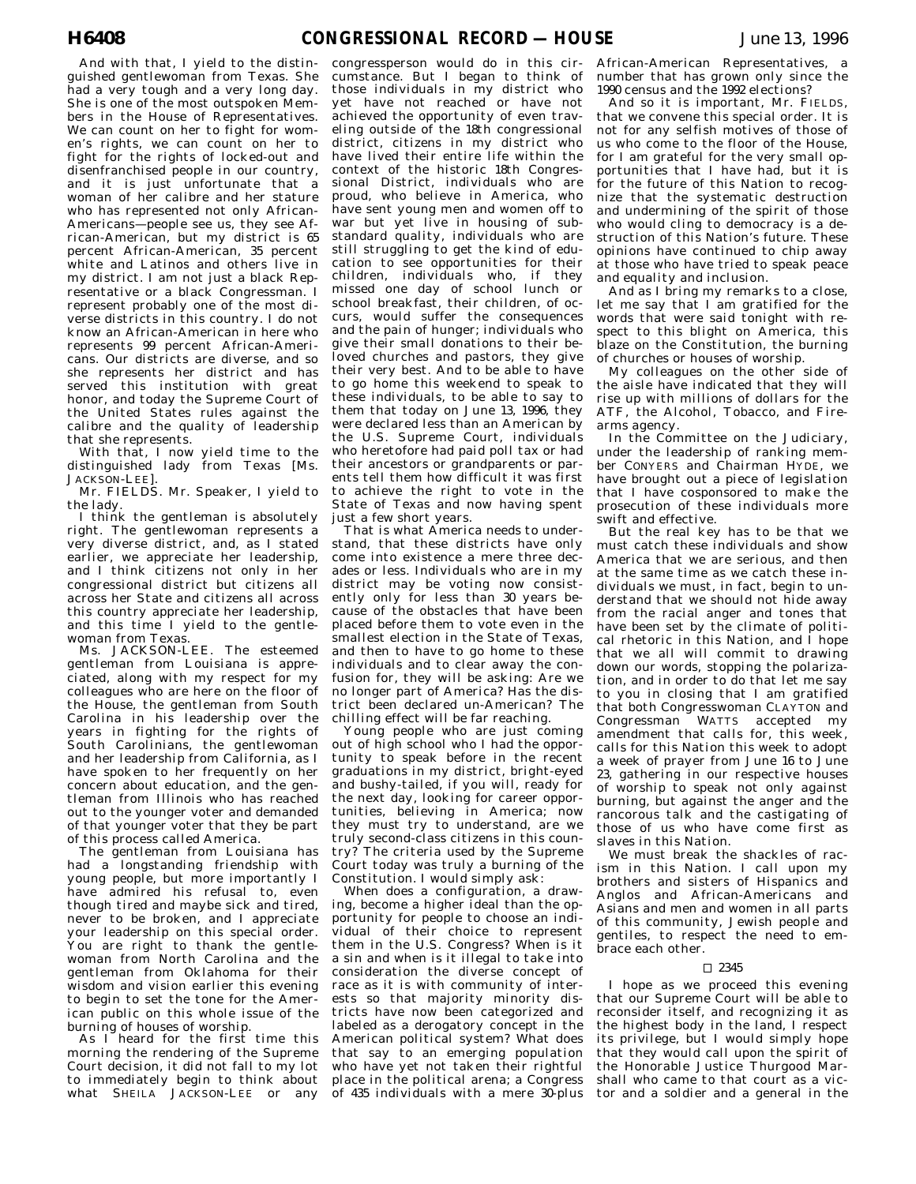And with that, I yield to the distinguished gentlewoman from Texas. She had a very tough and a very long day. She is one of the most outspoken Members in the House of Representatives. We can count on her to fight for women's rights, we can count on her to fight for the rights of locked-out and disenfranchised people in our country, and it is just unfortunate that a woman of her calibre and her stature who has represented not only African-Americans—people see us, they see African-American, but my district is 65 percent African-American, 35 percent white and Latinos and others live in my district. I am not just a black Representative or a black Congressman. I represent probably one of the most diverse districts in this country. I do not know an African-American in here who represents 99 percent African-Americans. Our districts are diverse, and so she represents her district and has served this institution with great honor, and today the Supreme Court of the United States rules against the calibre and the quality of leadership that she represents.

With that, I now yield time to the distinguished lady from Texas [Ms. JACKSON-LEE].

Mr. FIELDS. Mr. Speaker, I yield to the lady.

I think the gentleman is absolutely right. The gentlewoman represents a very diverse district, and, as I stated earlier, we appreciate her leadership, and I think citizens not only in her congressional district but citizens all across her State and citizens all across this country appreciate her leadership, and this time I yield to the gentlewoman from Texas.

Ms. JACKSON-LEE. The esteemed gentleman from Louisiana is appreciated, along with my respect for my colleagues who are here on the floor of the House, the gentleman from South Carolina in his leadership over the years in fighting for the rights of South Carolinians, the gentlewoman and her leadership from California, as I have spoken to her frequently on her concern about education, and the gentleman from Illinois who has reached out to the younger voter and demanded of that younger voter that they be part of this process called America.

The gentleman from Louisiana has had a longstanding friendship with young people, but more importantly I have admired his refusal to, even though tired and maybe sick and tired, never to be broken, and I appreciate your leadership on this special order. You are right to thank the gentlewoman from North Carolina and the gentleman from Oklahoma for their wisdom and vision earlier this evening to begin to set the tone for the American public on this whole issue of the burning of houses of worship.

As I heard for the first time this morning the rendering of the Supreme Court decision, it did not fall to my lot to immediately begin to think about what SHEILA JACKSON-LEE or any

congressperson would do in this circumstance. But I began to think of those individuals in my district who yet have not reached or have not achieved the opportunity of even traveling outside of the 18th congressional district, citizens in my district who have lived their entire life within the context of the historic 18th Congressional District, individuals who are proud, who believe in America, who have sent young men and women off to war but yet live in housing of substandard quality, individuals who are still struggling to get the kind of education to see opportunities for their children, individuals who, if they missed one day of school lunch or school breakfast, their children, of occurs, would suffer the consequences and the pain of hunger; individuals who give their small donations to their beloved churches and pastors, they give their very best. And to be able to have to go home this weekend to speak to these individuals, to be able to say to them that today on June 13, 1996, they were declared less than an American by the U.S. Supreme Court, individuals who heretofore had paid poll tax or had their ancestors or grandparents or parents tell them how difficult it was first to achieve the right to vote in the State of Texas and now having spent just a few short years.

That is what America needs to understand, that these districts have only come into existence a mere three decades or less. Individuals who are in my district may be voting now consistently only for less than 30 years because of the obstacles that have been placed before them to vote even in the smallest election in the State of Texas, and then to have to go home to these individuals and to clear away the confusion for, they will be asking: Are we no longer part of America? Has the district been declared un-American? The chilling effect will be far reaching.

Young people who are just coming out of high school who I had the opportunity to speak before in the recent graduations in my district, bright-eyed and bushy-tailed, if you will, ready for the next day, looking for career opportunities, believing in America; now they must try to understand, are we truly second-class citizens in this country? The criteria used by the Supreme Court today was truly a burning of the Constitution. I would simply ask:

When does a configuration, a drawing, become a higher ideal than the opportunity for people to choose an individual of their choice to represent them in the U.S. Congress? When is it a sin and when is it illegal to take into consideration the diverse concept of race as it is with community of interests so that majority minority districts have now been categorized and labeled as a derogatory concept in the American political system? What does that say to an emerging population who have yet not taken their rightful place in the political arena; a Congress of 435 individuals with a mere 30-plus

African-American Representatives, a number that has grown only since the 1990 census and the 1992 elections?

And so it is important, Mr. FIELDS, that we convene this special order. It is not for any selfish motives of those of us who come to the floor of the House, for I am grateful for the very small opportunities that I have had, but it is for the future of this Nation to recognize that the systematic destruction and undermining of the spirit of those who would cling to democracy is a destruction of this Nation's future. These opinions have continued to chip away at those who have tried to speak peace and equality and inclusion.

And as I bring my remarks to a close, let me say that I am gratified for the words that were said tonight with respect to this blight on America, this blaze on the Constitution, the burning of churches or houses of worship.

My colleagues on the other side of the aisle have indicated that they will rise up with millions of dollars for the ATF, the Alcohol, Tobacco, and Firearms agency.

In the Committee on the Judiciary, under the leadership of ranking member CONYERS and Chairman HYDE, we have brought out a piece of legislation that I have cosponsored to make the prosecution of these individuals more swift and effective.

But the real key has to be that we must catch these individuals and show America that we are serious, and then at the same time as we catch these individuals we must, in fact, begin to understand that we should not hide away from the racial anger and tones that have been set by the climate of political rhetoric in this Nation, and  $\hat{I}$  hope that we all will commit to drawing down our words, stopping the polarization, and in order to do that let me say to you in closing that I am gratified that both Congresswoman CLAYTON and Congressman WATTS accepted my amendment that calls for, this week, calls for this Nation this week to adopt a week of prayer from June 16 to June 23, gathering in our respective houses of worship to speak not only against burning, but against the anger and the rancorous talk and the castigating of those of us who have come first as slaves in this Nation.

We must break the shackles of racism in this Nation. I call upon my brothers and sisters of Hispanics and Anglos and African-Americans and Asians and men and women in all parts of this community, Jewish people and gentiles, to respect the need to embrace each other.

#### $\Box$  2345

I hope as we proceed this evening that our Supreme Court will be able to reconsider itself, and recognizing it as the highest body in the land, I respect its privilege, but I would simply hope that they would call upon the spirit of the Honorable Justice Thurgood Marshall who came to that court as a victor and a soldier and a general in the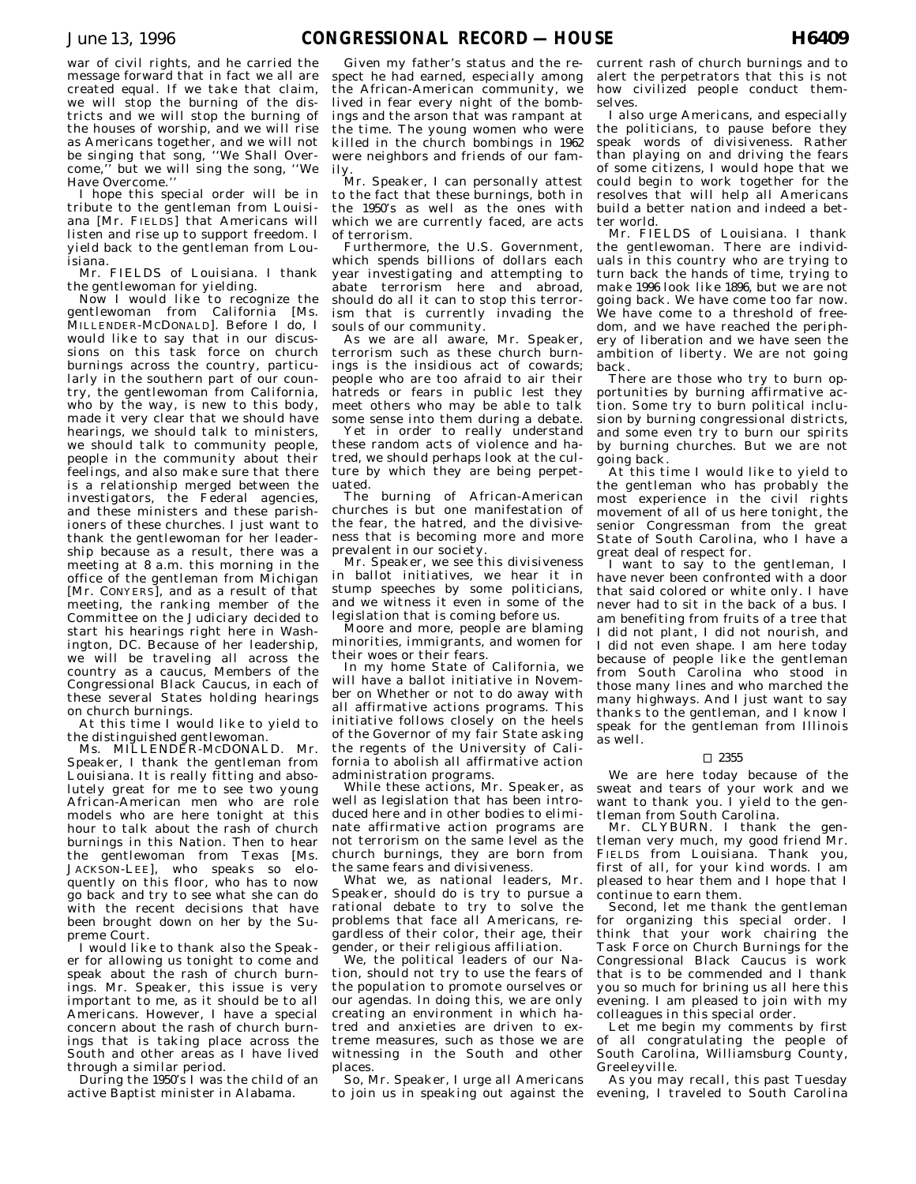war of civil rights, and he carried the message forward that in fact we all are created equal. If we take that claim, we will stop the burning of the districts and we will stop the burning of the houses of worship, and we will rise as Americans together, and we will not be singing that song, ''We Shall Overcome,'' but we will sing the song, ''We Have Overcome.''

I hope this special order will be in tribute to the gentleman from Louisiana [Mr. FIELDS] that Americans will listen and rise up to support freedom. I yield back to the gentleman from Louisiana.

Mr. FIELDS of Louisiana. I thank the gentlewoman for yielding.

Now I would like to recognize the gentlewoman from California [Ms. MILLENDER-MCDONALD]. Before I do, I would like to say that in our discussions on this task force on church burnings across the country, particularly in the southern part of our country, the gentlewoman from California, who by the way, is new to this body, made it very clear that we should have hearings, we should talk to ministers, we should talk to community people, people in the community about their feelings, and also make sure that there is a relationship merged between the investigators, the Federal agencies, and these ministers and these parishioners of these churches. I just want to thank the gentlewoman for her leadership because as a result, there was a meeting at 8 a.m. this morning in the office of the gentleman from Michigan [Mr. CONYERS], and as a result of that meeting, the ranking member of the Committee on the Judiciary decided to start his hearings right here in Washington, DC. Because of her leadership, we will be traveling all across the country as a caucus, Members of the Congressional Black Caucus, in each of these several States holding hearings on church burnings.

At this time I would like to yield to the distinguished gentlewoman.

Ms. MILLENDER-MCDONALD. Mr. Speaker, I thank the gentleman from Louisiana. It is really fitting and absolutely great for me to see two young African-American men who are role models who are here tonight at this hour to talk about the rash of church burnings in this Nation. Then to hear the gentlewoman from Texas [Ms. JACKSON-LEE], who speaks so eloquently on this floor, who has to now go back and try to see what she can do with the recent decisions that have been brought down on her by the Supreme Court.

I would like to thank also the Speaker for allowing us tonight to come and speak about the rash of church burnings. Mr. Speaker, this issue is very important to me, as it should be to all Americans. However, I have a special concern about the rash of church burnings that is taking place across the South and other areas as I have lived through a similar period.

During the 1950's I was the child of an active Baptist minister in Alabama.

Given my father's status and the respect he had earned, especially among the African-American community, we lived in fear every night of the bombings and the arson that was rampant at the time. The young women who were killed in the church bombings in 1962 were neighbors and friends of our family.

Mr. Speaker, I can personally attest to the fact that these burnings, both in the 1950's as well as the ones with which we are currently faced, are acts of terrorism.

Furthermore, the U.S. Government, which spends billions of dollars each year investigating and attempting to abate terrorism here and abroad, should do all it can to stop this terrorism that is currently invading the souls of our community.

As we are all aware, Mr. Speaker, terrorism such as these church burnings is the insidious act of cowards; people who are too afraid to air their hatreds or fears in public lest they meet others who may be able to talk some sense into them during a debate.

Yet in order to really understand these random acts of violence and hatred, we should perhaps look at the culture by which they are being perpetuated.

The burning of African-American churches is but one manifestation of the fear, the hatred, and the divisiveness that is becoming more and more prevalent in our society.

Mr. Speaker, we see this divisiveness in ballot initiatives, we hear it in stump speeches by some politicians, and we witness it even in some of the legislation that is coming before us.

Moore and more, people are blaming minorities, immigrants, and women for their woes or their fears.

In my home State of California, we will have a ballot initiative in November on Whether or not to do away with all affirmative actions programs. This initiative follows closely on the heels of the Governor of my fair State asking the regents of the University of California to abolish all affirmative action administration programs.

While these actions, Mr. Speaker, as well as legislation that has been introduced here and in other bodies to eliminate affirmative action programs are not terrorism on the same level as the church burnings, they are born from the same fears and divisiveness.

What we, as national leaders, Mr. Speaker, should do is try to pursue a rational debate to try to solve the problems that face all Americans, regardless of their color, their age, their gender, or their religious affiliation.

We, the political leaders of our Nation, should not try to use the fears of the population to promote ourselves or our agendas. In doing this, we are only creating an environment in which hatred and anxieties are driven to extreme measures, such as those we are witnessing in the South and other places.

So, Mr. Speaker, I urge all Americans to join us in speaking out against the

current rash of church burnings and to alert the perpetrators that this is not how civilized people conduct themselves.

I also urge Americans, and especially the politicians, to pause before they speak words of divisiveness. Rather than playing on and driving the fears of some citizens, I would hope that we could begin to work together for the resolves that will help all Americans build a better nation and indeed a better world.

Mr. FIELDS of Louisiana. I thank the gentlewoman. There are individuals in this country who are trying to turn back the hands of time, trying to make 1996 look like 1896, but we are not going back. We have come too far now. We have come to a threshold of freedom, and we have reached the periphery of liberation and we have seen the ambition of liberty. We are not going back.

There are those who try to burn opportunities by burning affirmative action. Some try to burn political inclusion by burning congressional districts, and some even try to burn our spirits by burning churches. But we are not going back.

At this time I would like to yield to the gentleman who has probably the most experience in the civil rights movement of all of us here tonight, the senior Congressman from the great State of South Carolina, who I have a great deal of respect for.

I want to say to the gentleman, I have never been confronted with a door that said colored or white only. I have never had to sit in the back of a bus. I am benefiting from fruits of a tree that I did not plant, I did not nourish, and I did not even shape. I am here today because of people like the gentleman from South Carolina who stood in those many lines and who marched the many highways. And I just want to say thanks to the gentleman, and I know I speak for the gentleman from Illinois as well.

#### $\Box$  2355

We are here today because of the sweat and tears of your work and we want to thank you. I yield to the gentleman from South Carolina.

Mr. CLYBURN. I thank the gentleman very much, my good friend Mr. FIELDS from Louisiana. Thank you, first of all, for your kind words.  $\tilde{I}$  am pleased to hear them and I hope that I continue to earn them.

Second, let me thank the gentleman for organizing this special order. I think that your work chairing the Task Force on Church Burnings for the Congressional Black Caucus is work that is to be commended and I thank you so much for brining us all here this evening. I am pleased to join with my colleagues in this special order.

Let me begin my comments by first of all congratulating the people of South Carolina, Williamsburg County, Greeleyville.

As you may recall, this past Tuesday evening, I traveled to South Carolina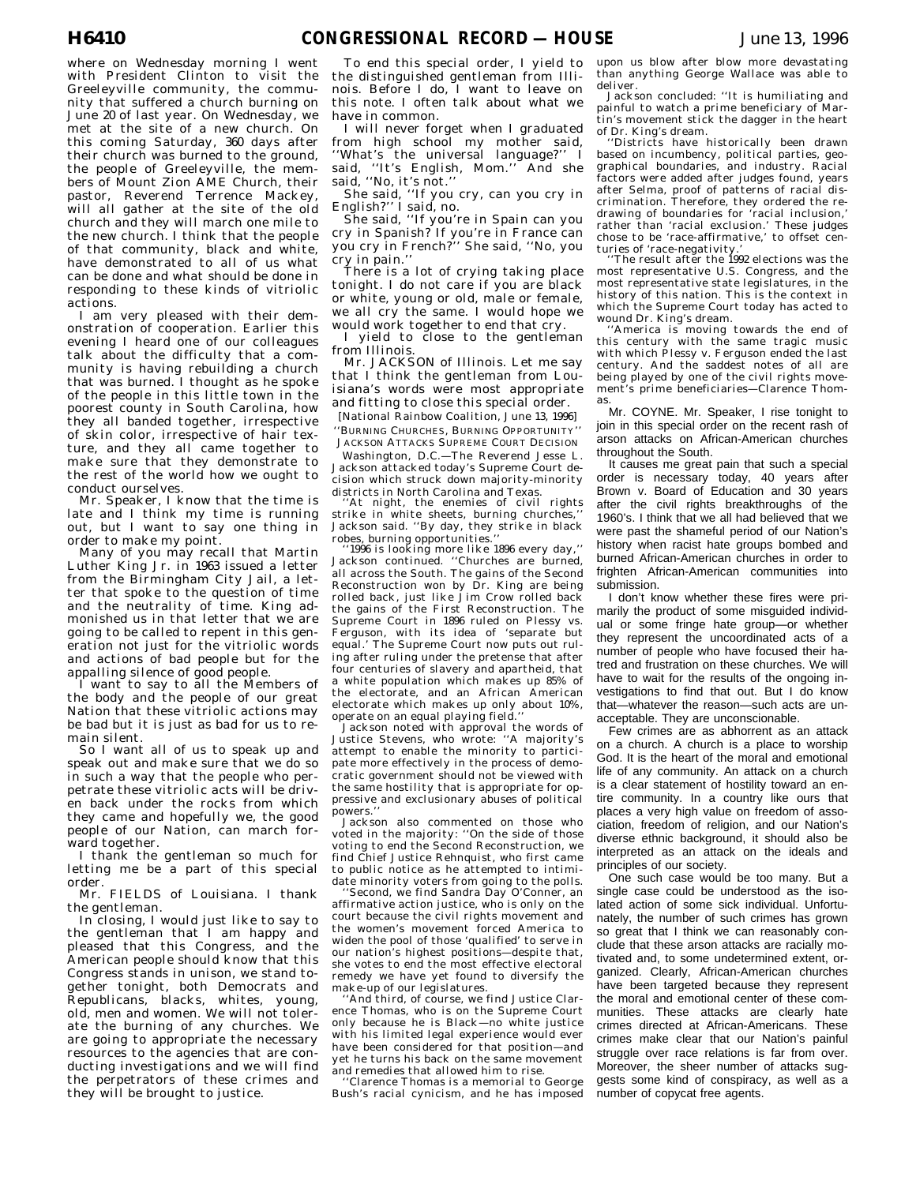where on Wednesday morning I went with President Clinton to visit the Greeleyville community, the community that suffered a church burning on June 20 of last year. On Wednesday, we met at the site of a new church. On this coming Saturday, 360 days after their church was burned to the ground, the people of Greeleyville, the members of Mount Zion AME Church, their pastor, Reverend Terrence Mackey, will all gather at the site of the old church and they will march one mile to the new church. I think that the people of that community, black and white, have demonstrated to all of us what can be done and what should be done in responding to these kinds of vitriolic actions.

I am very pleased with their demonstration of cooperation. Earlier this evening I heard one of our colleagues talk about the difficulty that a community is having rebuilding a church that was burned. I thought as he spoke of the people in this little town in the poorest county in South Carolina, how they all banded together, irrespective of skin color, irrespective of hair texture, and they all came together to make sure that they demonstrate to the rest of the world how we ought to conduct ourselves.

Mr. Speaker, I know that the time is late and I think my time is running out, but I want to say one thing in order to make my point.

Many of you may recall that Martin Luther King Jr. in 1963 issued a letter from the Birmingham City Jail, a letter that spoke to the question of time and the neutrality of time. King admonished us in that letter that we are going to be called to repent in this generation not just for the vitriolic words and actions of bad people but for the appalling silence of good people.

want to say to all the Members of the body and the people of our great Nation that these vitriolic actions may be bad but it is just as bad for us to remain silent.

So I want all of us to speak up and speak out and make sure that we do so in such a way that the people who perpetrate these vitriolic acts will be driven back under the rocks from which they came and hopefully we, the good people of our Nation, can march forward together.

I thank the gentleman so much for letting me be a part of this special order.

Mr. FIELDS of Louisiana. I thank the gentleman.

In closing, I would just like to say to the gentleman that I am happy and pleased that this Congress, and the American people should know that this Congress stands in unison, we stand together tonight, both Democrats and Republicans, blacks, whites, young, old, men and women. We will not tolerate the burning of any churches. We are going to appropriate the necessary resources to the agencies that are conducting investigations and we will find the perpetrators of these crimes and they will be brought to justice.

To end this special order, I yield to the distinguished gentleman from Illinois. Before I do, I want to leave on this note. I often talk about what we have in common.

I will never forget when I graduated from high school my mother said, ''What's the universal language?'' I said, ''It's English, Mom.'' And she said, ''No, it's not.''

She said, ''If you cry, can you cry in English?'' I said, no.

She said, ''If you're in Spain can you cry in Spanish? If you're in France can you cry in French?'' She said, ''No, you cry in pain.''

There is a lot of crying taking place tonight. I do not care if you are black or white, young or old, male or female, we all cry the same. I would hope we would work together to end that cry.

I yield to close to the gentleman from Illinois.

Mr. JACKSON of Illinois. Let me say that I think the gentleman from Louisiana's words were most appropriate and fitting to close this special order.

[National Rainbow Coalition, June 13, 1996] ''BURNING CHURCHES, BURNING OPPORTUNITY'' JACKSON ATTACKS SUPREME COURT DECISION

Washington, D.C.—The Reverend Jesse L. Jackson attacked today's Supreme Court decision which struck down majority-minority districts in North Carolina and Texas.

'At night, the enemies of civil rights strike in white sheets, burning churches, Jackson said. ''By day, they strike in black

robes, burning opportunities.'' ''1996 is looking more like 1896 every day,'' Jackson continued. ''Churches are burned, all across the South. The gains of the Second  $Reconstruction$  won by  $\overrightarrow{Dr}$ . King are being rolled back, just like Jim Crow rolled back the gains of the First Reconstruction. The Supreme Court in 1896 ruled on Plessy vs. Ferguson, with its idea of 'separate<sup>'</sup> but equal.' The Supreme Court now puts out ruling after ruling under the pretense that after four centuries of slavery and apartheid, that a white population which makes up 85% of the electorate, and an African American electorate which makes up only about 10%, operate on an equal playing field.'' Jackson noted with approval the words of

Justice Stevens, who wrote: ''A majority's attempt to enable the minority to participate more effectively in the process of democratic government should not be viewed with the same hostility that is appropriate for oppressive and exclusionary abuses of political powers.''

Jackson also commented on those who voted in the majority: ''On the side of those voting to end the Second Reconstruction, we find Chief Justice Rehnquist, who first came to public notice as he attempted to intimi-

date minority voters from going to the polls. ''Second, we find Sandra Day O'Conner, an affirmative action justice, who is only on the court because the civil rights movement and the women's movement forced America to widen the pool of those 'qualified' to serve in our nation's highest positions—despite that, she votes to end the most effective electoral remedy we have yet found to diversify the make-up of our legislatures.

And third, of course, we find Justice Clarence Thomas, who is on the Supreme Court only because he is Black—no white justice with his limited legal experience would ever have been considered for that position—and yet he turns his back on the same movement and remedies that allowed him to rise.

'Clarence Thomas is a memorial to George Bush's racial cynicism, and he has imposed upon us blow after blow more devastating than anything George Wallace was able to deliver.

Jackson concluded: ''It is humiliating and painful to watch a prime beneficiary of Martin's movement stick the dagger in the heart of Dr. King's dream.

''Districts have historically been drawn based on incumbency, political parties, geographical boundaries, and industry. Racial factors were added after judges found, years after Selma, proof of patterns of racial dis-crimination. Therefore, they ordered the redrawing of boundaries for 'racial inclusion,' rather than 'racial exclusion.' These judges chose to be 'race-affirmative,' to offset centuries of 'race-negativity.

''The result after the 1992 elections was the most representative U.S. Congress, and the most representative state legislatures, in the history of this nation. This is the context in which the Supreme Court today has acted to wound Dr. King's dream.

'America is moving towards the end of this century with the same tragic music with which Plessy v. Ferguson ended the last century. And the saddest notes of all are being played by one of the civil rights movement's prime beneficiaries—Clarence Thomas.

Mr. COYNE. Mr. Speaker, I rise tonight to join in this special order on the recent rash of arson attacks on African-American churches throughout the South.

It causes me great pain that such a special order is necessary today, 40 years after Brown v. Board of Education and 30 years after the civil rights breakthroughs of the 1960's. I think that we all had believed that we were past the shameful period of our Nation's history when racist hate groups bombed and burned African-American churches in order to frighten African-American communities into submission.

I don't know whether these fires were primarily the product of some misguided individual or some fringe hate group-or whether they represent the uncoordinated acts of a number of people who have focused their hatred and frustration on these churches. We will have to wait for the results of the ongoing investigations to find that out. But I do know that—whatever the reason—such acts are unacceptable. They are unconscionable.

Few crimes are as abhorrent as an attack on a church. A church is a place to worship God. It is the heart of the moral and emotional life of any community. An attack on a church is a clear statement of hostility toward an entire community. In a country like ours that places a very high value on freedom of association, freedom of religion, and our Nation's diverse ethnic background, it should also be interpreted as an attack on the ideals and principles of our society.

One such case would be too many. But a single case could be understood as the isolated action of some sick individual. Unfortunately, the number of such crimes has grown so great that I think we can reasonably conclude that these arson attacks are racially motivated and, to some undetermined extent, organized. Clearly, African-American churches have been targeted because they represent the moral and emotional center of these communities. These attacks are clearly hate crimes directed at African-Americans. These crimes make clear that our Nation's painful struggle over race relations is far from over. Moreover, the sheer number of attacks suggests some kind of conspiracy, as well as a number of copycat free agents.